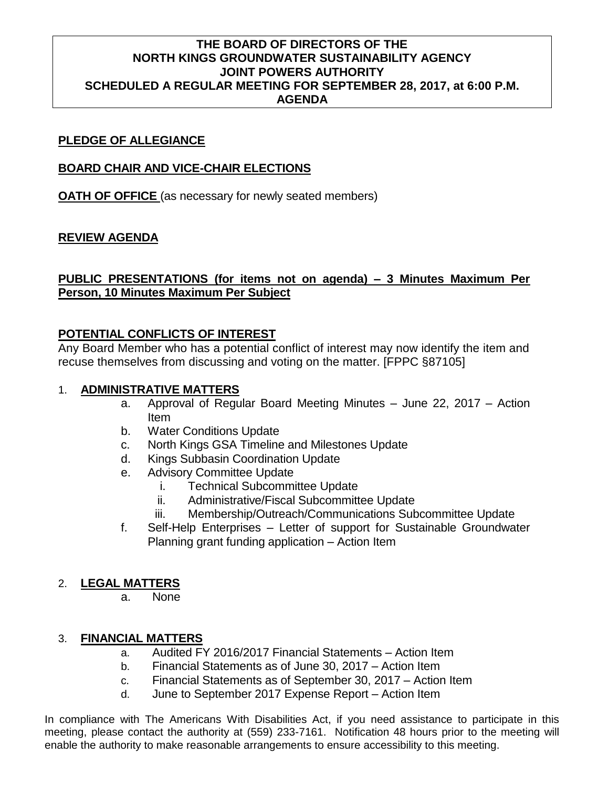# **THE BOARD OF DIRECTORS OF THE NORTH KINGS GROUNDWATER SUSTAINABILITY AGENCY JOINT POWERS AUTHORITY SCHEDULED A REGULAR MEETING FOR SEPTEMBER 28, 2017, at 6:00 P.M. AGENDA**

## **PLEDGE OF ALLEGIANCE**

## **BOARD CHAIR AND VICE-CHAIR ELECTIONS**

**OATH OF OFFICE** (as necessary for newly seated members)

## **REVIEW AGENDA**

## **PUBLIC PRESENTATIONS (for items not on agenda) – 3 Minutes Maximum Per Person, 10 Minutes Maximum Per Subject**

## **POTENTIAL CONFLICTS OF INTEREST**

Any Board Member who has a potential conflict of interest may now identify the item and recuse themselves from discussing and voting on the matter. [FPPC §87105]

## 1. **ADMINISTRATIVE MATTERS**

- a. Approval of Regular Board Meeting Minutes June 22, 2017 Action Item
- b. Water Conditions Update
- c. North Kings GSA Timeline and Milestones Update
- d. Kings Subbasin Coordination Update
- e. Advisory Committee Update
	- i. Technical Subcommittee Update
	- ii. Administrative/Fiscal Subcommittee Update
	- iii. Membership/Outreach/Communications Subcommittee Update
- f. Self-Help Enterprises Letter of support for Sustainable Groundwater Planning grant funding application – Action Item

#### 2. **LEGAL MATTERS**

a. None

## 3. **FINANCIAL MATTERS**

- a. Audited FY 2016/2017 Financial Statements Action Item
- b. Financial Statements as of June 30, 2017 Action Item
- c. Financial Statements as of September 30, 2017 Action Item
- d. June to September 2017 Expense Report Action Item

In compliance with The Americans With Disabilities Act, if you need assistance to participate in this meeting, please contact the authority at (559) 233-7161. Notification 48 hours prior to the meeting will enable the authority to make reasonable arrangements to ensure accessibility to this meeting.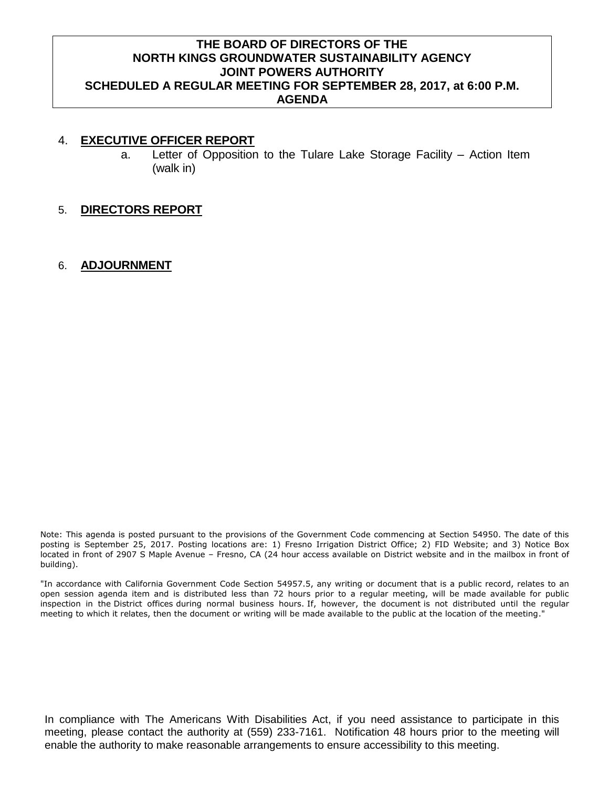# **THE BOARD OF DIRECTORS OF THE NORTH KINGS GROUNDWATER SUSTAINABILITY AGENCY JOINT POWERS AUTHORITY SCHEDULED A REGULAR MEETING FOR SEPTEMBER 28, 2017, at 6:00 P.M. AGENDA**

#### 4. **EXECUTIVE OFFICER REPORT**

- a. Letter of Opposition to the Tulare Lake Storage Facility Action Item (walk in)
- 5. **DIRECTORS REPORT**

## 6. **ADJOURNMENT**

Note: This agenda is posted pursuant to the provisions of the Government Code commencing at Section 54950. The date of this posting is September 25, 2017. Posting locations are: 1) Fresno Irrigation District Office; 2) FID Website; and 3) Notice Box located in front of 2907 S Maple Avenue – Fresno, CA (24 hour access available on District website and in the mailbox in front of building).

"In accordance with California Government Code Section 54957.5, any writing or document that is a public record, relates to an open session agenda item and is distributed less than 72 hours prior to a regular meeting, will be made available for public inspection in the District offices during normal business hours. If, however, the document is not distributed until the regular meeting to which it relates, then the document or writing will be made available to the public at the location of the meeting."

In compliance with The Americans With Disabilities Act, if you need assistance to participate in this meeting, please contact the authority at (559) 233-7161. Notification 48 hours prior to the meeting will enable the authority to make reasonable arrangements to ensure accessibility to this meeting.